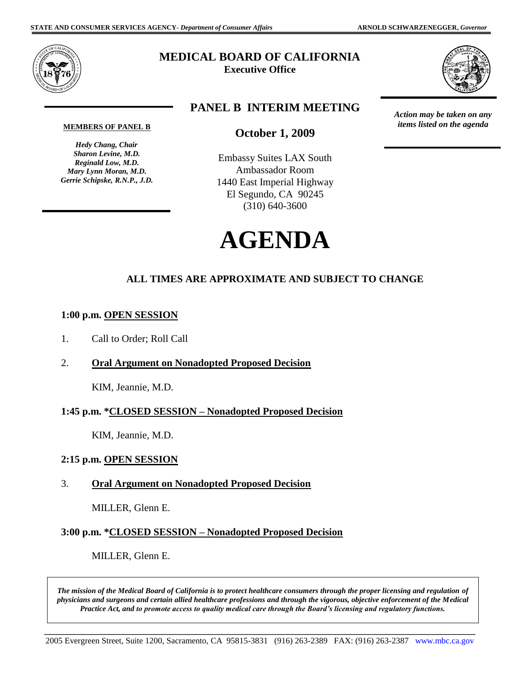

# **MEDICAL BOARD OF CALIFORNIA**

**Executive Office** 



 *items listed on the agenda* 

*Action may be taken on any* 

# **PANEL B INTERIM MEETING**

#### **MEMBERS OF PANEL B**

 *Sharon Levine, M.D. Mary Lynn Moran, M.D. Gerrie Schipske, R.N.P., J.D. Hedy Chang, Chair Reginald Low, M.D.* 

## **October 1, 2009**

Embassy Suites LAX South Ambassador Room 1440 East Imperial Highway El Segundo, CA 90245 (310) 640-3600



# **ALL TIMES ARE APPROXIMATE AND SUBJECT TO CHANGE**

#### **1:00 p.m. OPEN SESSION**

- 1. Call to Order; Roll Call
- 2. **Oral Argument on Nonadopted Proposed Decision**

KIM, Jeannie, M.D.

#### **1:45 p.m. \*CLOSED SESSION – Nonadopted Proposed Decision**

KIM, Jeannie, M.D.

#### **2:15 p.m. OPEN SESSION**

#### 3. **Oral Argument on Nonadopted Proposed Decision**

MILLER, Glenn E.

#### **3:00 p.m. \*CLOSED SESSION – Nonadopted Proposed Decision**

MILLER, Glenn E.

 *The mission of the Medical Board of California is to protect healthcare consumers through the proper licensing and regulation of physicians and surgeons and certain allied healthcare professions and through the vigorous, objective enforcement of the Medical Practice Act, and to promote access to quality medical care through the Board's licensing and regulatory functions.*